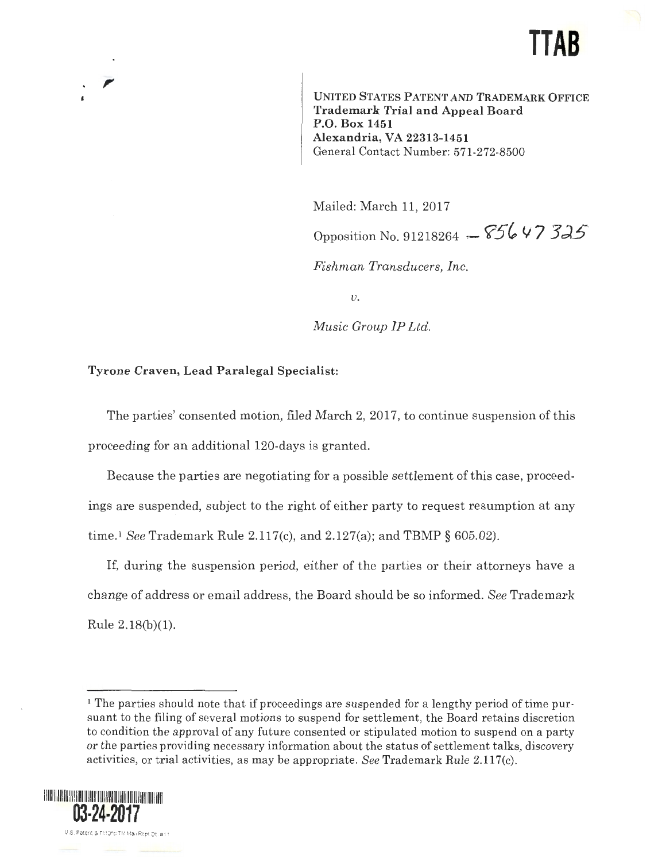# **TTAB**

UNITED STATES PATENT AND TRADEMARK OFFICE Trademark Trial and Appeal Board P.O. Box 1451 Alexandria, VA 22313-1451 General Contact Number: 571-272-8500

Mailed: March 11, 2017 Opposition No. 91218264 -  $85647335$ 

*Fishman Transducers, Inc.* 

*u.* 

*Music Group IP Ltd.* 

### Tyrone Craven, Lead Paralegal Specialist:

The parties' consented motion, filed March 2, 2017, to continue suspension of this proceeding for an additional 120-days is granted.

Because the parties are negotiating for a possible settlement of this case, proceedings are suspended, subject to the right of either party to request resumption at any time. <sup>1</sup>*See* Trademark Rule 2.117(c), and 2.127(a); and TEMP§ 605.02).

If, during the suspension period, either of the parties or their attorneys have a change of address or email address, the Board should be so informed. *See* Trademark Rule 2.18(b)(l).

<sup>&</sup>lt;sup>1</sup> The parties should note that if proceedings are suspended for a lengthy period of time pursuant to the filing of several motions to suspend for settlement, the Board retains discretion to condition the approval of any future consented or stipulated motion to suspend on a party or the parties providing necessary information about the status of settlement talks, discovery activities, or trial activities, as may be appropriate. *See* Trademark Rule 2.ll 7(c).

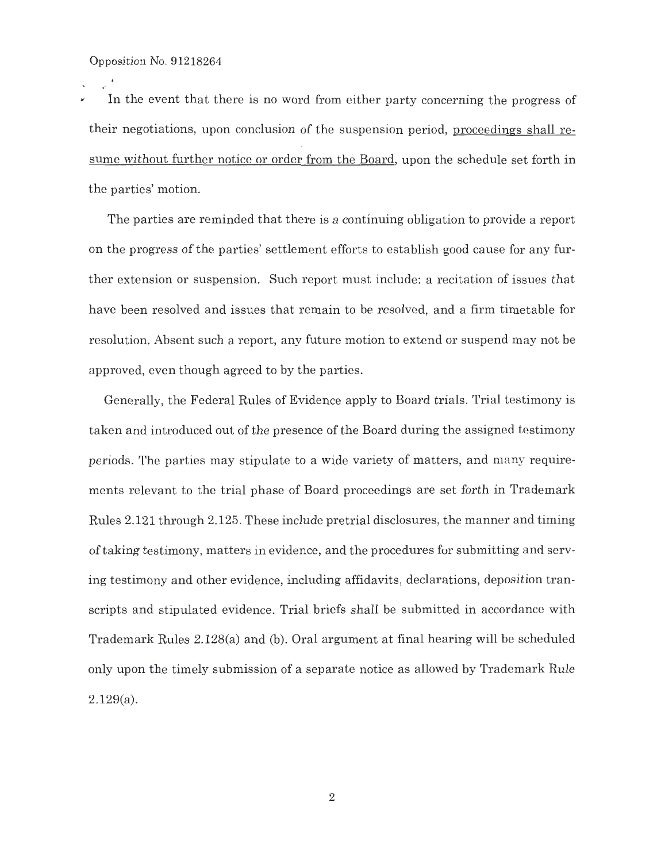$\ddot{\phantom{1}}$ 

/ In the event that there is no word from either party concerning the progress of their negotiations, upon conclusion of the suspension period, proceedings shall resume without further notice or order from the Board, upon the schedule set forth in the parties' motion.

The parties are reminded that there is a continuing obligation to provide a report on the progress of the parties' settlement efforts to establish good cause for any further extension or suspension. Such report must include: a recitation of issues that have been resolved and issues that remain to be resolved, and a firm timetable for resolution. Absent such a report, any future motion to extend or suspend may not be approved, even though agreed to by the parties.

Generally, the Federal Rules of Evidence apply to Board trials. Trial testimony is taken and introduced out of the presence of the Board during the assigned testimony periods. The parties may stipulate to a wide variety of matters, and many requirements relevant to the trial phase of Board proceedings are set forth in Trademark Rules 2.121 through 2.125. These include pretrial disclosures, the manner and timing of taking testimony, matters in evidence, and the procedures for submitting and serving testimony and other evidence, including affidavits, declarations, deposition transcripts and stipulated evidence. Trial briefs shall be submitted in accordance with Trademark Rules 2.128(a) and (b). Oral argument at final hearing will be scheduled only upon the timely submission of a separate notice as allowed by Trademark Rule 2.129(a).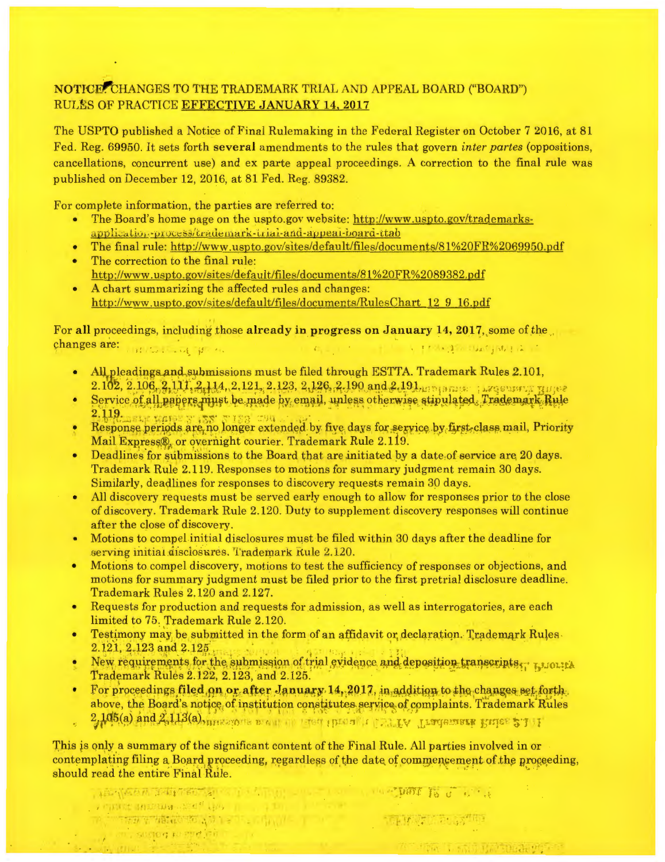## NOTICE, CHANGES TO THE TRADEMARK TRIAL AND APPEAL BOARD ("BOARD") RULES OF PRACTICE EFFECTIVE JANUARY 14, 2017

The USPTO published a Notice of Final Rulemaking in the Federal Register on October 7 2016, at 81 Fed. Reg. 69950. It sets forth several amendments to the rules that govern *inter partes* (oppositions, cancellations, concurrent use) and ex parte appeal proceedings. A correction to the final rule was published on December 12, 2016, at 81 Fed. Reg. 89382.

For complete information, the parties are referred to:

- The Board's home page on the uspto.gov website: http://www.uspto.gov/trademarksapplication-process/trademark-trial-and-appear-board-ttab
- The final rule: http://www.uspto.gov/sites/default/files/documents/81 %20FR%2069950.pdf
- The correction to the final rule: http://www.uspto.gov/sites/default/file s/documents/81 %20FR%2089382.pdf
- A chart summarizing the affected rules and changes: http://www.uspto.gov/sites/default/files/documents/RulesChart 12 9 16.pdf

For all proceedings, including those already in progress on January 14, 2017, some of the changes are: THRUSHOLDENS ALL THE RESERVE THE REPORT OF A PROPER DWORM (ALL TIME

- All pleadings and submissions must be filed through ESTTA. Trademark Rules 2.101,  $2.102, 2.106, 2.111, 2.114, 2.121, 2.123, 2.126, 2.190$  and  $2.191$ <sub>MPM</sub> and  $...$  , ... *reserve in three*
- · Service of all papers must be made by email, unless otherwise stipulated. Trademark Rule 2.119. . • ,., . "''\'' ·.
- Response periods are no longer extended by five days for service by first-class mail, Priority Mail Express®, or overnight courier. Trademark Rule 2.119.
- Deadlines for submissions to the Board that are initiated by a date of service are 20 days. Trademark Rule 2.119. Responses to motions for summary judgment remain 30 days. Similarly, deadlines for responses to discovery requests remain 30 days.
- All discovery requests must be served early enough to allow for responses prior to the close of discovery. Trademark Rule 2.120. Duty to supplement discovery responses will continue after the close of discovery.
- Motions to compel initial disclosures must be filed within 30 days after the deadline for serving initial disclosures. Trademark Rule 2.120.
- Motions to compel discovery, motions to test the sufficiency of responses or objections, and motions for summary judgment must be filed prior to the first pretrial disclosure deadline. Trademark Rules 2.120 and 2.127.
- Requests for production and requests for admission, as well as interrogatories, are each limited to 75. Trademark Rule 2.120.
- Testimony may be submitted in the form of an affidavit or declaration. Trademark Rules 2.121, 2.123 and 2.125.
- New requirements for the submission of trial gvidence and deposition transcripts...  $r_{\text{J}}$  wounds Trademark Rules 2.122, 2.123, and 2.125.
- For proceedings filed on or after January 14, 2017, in addition to the changes set forth. above, the Board's notice of institution constitutes service of complaints. Trademark Rules

2,105(a) and 2,113(a), measure would be received the all residents respectively in  $r$ .

IS YOUR TELEVISION IN A LINE SHOW THAT IS A RELEASE IS

1:,1

,.. '

( ) and surface to goe with

This is only a summary of the significant content of the Final Rule. All parties involved in or contemplating filing a Board proceeding, regardless of the date of commencement of the proceeding, should read the entire Final Rule.

The Committee of the Committee of the Committee of the Committee of the Committee of the Committee of the Committee of the Committee of the Committee of the Committee of the Committee of the Committee of the Committee of t